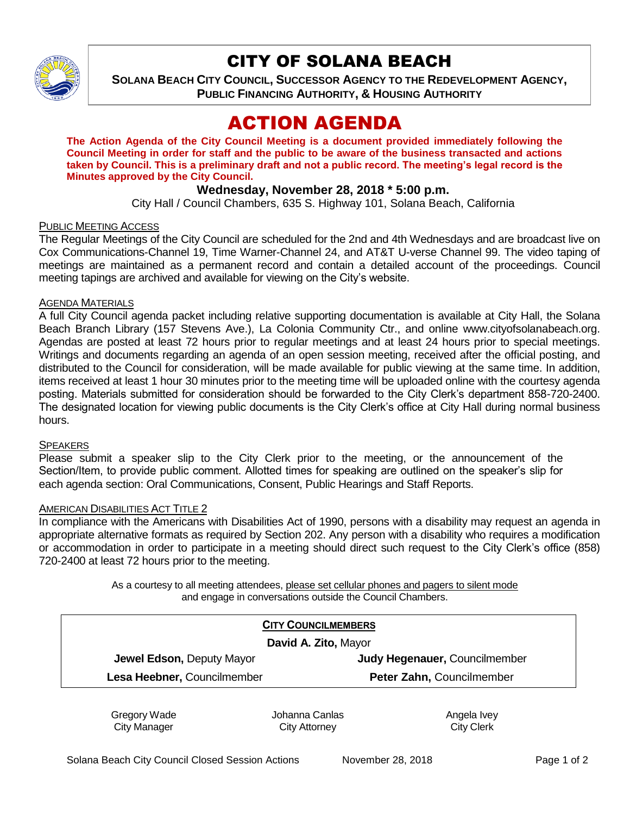

# CITY OF SOLANA BEACH

**SOLANA BEACH CITY COUNCIL, SUCCESSOR AGENCY TO THE REDEVELOPMENT AGENCY, PUBLIC FINANCING AUTHORITY, & HOUSING AUTHORITY**

# ACTION AGENDA

**The Action Agenda of the City Council Meeting is a document provided immediately following the Council Meeting in order for staff and the public to be aware of the business transacted and actions taken by Council. This is a preliminary draft and not a public record. The meeting's legal record is the Minutes approved by the City Council.**

## **Wednesday, November 28, 2018 \* 5:00 p.m.**

City Hall / Council Chambers, 635 S. Highway 101, Solana Beach, California

#### PUBLIC MEETING ACCESS

The Regular Meetings of the City Council are scheduled for the 2nd and 4th Wednesdays and are broadcast live on Cox Communications-Channel 19, Time Warner-Channel 24, and AT&T U-verse Channel 99. The video taping of meetings are maintained as a permanent record and contain a detailed account of the proceedings. Council meeting tapings are archived and available for viewing on the City's website.

#### AGENDA MATERIALS

A full City Council agenda packet including relative supporting documentation is available at City Hall, the Solana Beach Branch Library (157 Stevens Ave.), La Colonia Community Ctr., and online www.cityofsolanabeach.org. Agendas are posted at least 72 hours prior to regular meetings and at least 24 hours prior to special meetings. Writings and documents regarding an agenda of an open session meeting, received after the official posting, and distributed to the Council for consideration, will be made available for public viewing at the same time. In addition, items received at least 1 hour 30 minutes prior to the meeting time will be uploaded online with the courtesy agenda posting. Materials submitted for consideration should be forwarded to the City Clerk's department 858-720-2400. The designated location for viewing public documents is the City Clerk's office at City Hall during normal business hours.

#### **SPEAKERS**

Please submit a speaker slip to the City Clerk prior to the meeting, or the announcement of the Section/Item, to provide public comment. Allotted times for speaking are outlined on the speaker's slip for each agenda section: Oral Communications, Consent, Public Hearings and Staff Reports.

#### AMERICAN DISABILITIES ACT TITLE 2

In compliance with the Americans with Disabilities Act of 1990, persons with a disability may request an agenda in appropriate alternative formats as required by Section 202. Any person with a disability who requires a modification or accommodation in order to participate in a meeting should direct such request to the City Clerk's office (858) 720-2400 at least 72 hours prior to the meeting.

> As a courtesy to all meeting attendees, please set cellular phones and pagers to silent mode and engage in conversations outside the Council Chambers.

| <b>CITY COUNCILMEMBERS</b><br>David A. Zito, Mayor |                           |
|----------------------------------------------------|---------------------------|
|                                                    |                           |
| Lesa Heebner, Councilmember                        | Peter Zahn, Councilmember |

Gregory Wade City Manager

Johanna Canlas City Attorney